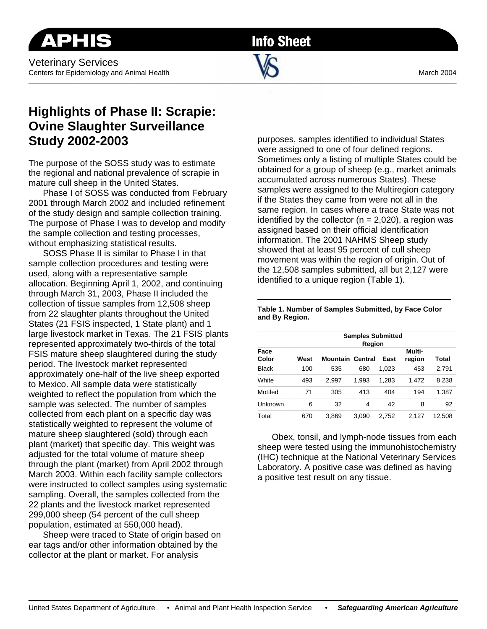**Info Sheet** 

 $\Box$ 

## **Highlights of Phase II: Scrapie: Ovine Slaughter Surveillance Study 2002-2003**

The purpose of the SOSS study was to estimate the regional and national prevalence of scrapie in mature cull sheep in the United States.

Phase I of SOSS was conducted from February 2001 through March 2002 and included refinement of the study design and sample collection training. The purpose of Phase I was to develop and modify the sample collection and testing processes, without emphasizing statistical results.

SOSS Phase II is similar to Phase I in that sample collection procedures and testing were used, along with a representative sample allocation. Beginning April 1, 2002, and continuing through March 31, 2003, Phase II included the collection of tissue samples from 12,508 sheep from 22 slaughter plants throughout the United States (21 FSIS inspected, 1 State plant) and 1 large livestock market in Texas. The 21 FSIS plants represented approximately two-thirds of the total FSIS mature sheep slaughtered during the study period. The livestock market represented approximately one-half of the live sheep exported to Mexico. All sample data were statistically weighted to reflect the population from which the sample was selected. The number of samples collected from each plant on a specific day was statistically weighted to represent the volume of mature sheep slaughtered (sold) through each plant (market) that specific day. This weight was adjusted for the total volume of mature sheep through the plant (market) from April 2002 through March 2003. Within each facility sample collectors were instructed to collect samples using systematic sampling. Overall, the samples collected from the 22 plants and the livestock market represented 299,000 sheep (54 percent of the cull sheep population, estimated at 550,000 head).

Sheep were traced to State of origin based on ear tags and/or other information obtained by the collector at the plant or market. For analysis

purposes, samples identified to individual States were assigned to one of four defined regions. Sometimes only a listing of multiple States could be obtained for a group of sheep (e.g., market animals accumulated across numerous States). These samples were assigned to the Multiregion category if the States they came from were not all in the same region. In cases where a trace State was not identified by the collector  $(n = 2,020)$ , a region was assigned based on their official identification information. The 2001 NAHMS Sheep study showed that at least 95 percent of cull sheep movement was within the region of origin. Out of the 12,508 samples submitted, all but 2,127 were identified to a unique region (Table 1).

| Face<br>Color | <b>Samples Submitted</b><br>Region |                         |       |       |                  |        |
|---------------|------------------------------------|-------------------------|-------|-------|------------------|--------|
|               | West                               | <b>Mountain Central</b> |       | East  | Multi-<br>region | Total  |
| <b>Black</b>  | 100                                | 535                     | 680   | 1,023 | 453              | 2,791  |
| White         | 493                                | 2.997                   | 1,993 | 1,283 | 1.472            | 8,238  |
| Mottled       | 71                                 | 305                     | 413   | 404   | 194              | 1,387  |
| Unknown       | 6                                  | 32                      | 4     | 42    | 8                | 92     |
| Total         | 670                                | 3,869                   | 3,090 | 2,752 | 2.127            | 12,508 |

**Table 1. Number of Samples Submitted, by Face Color and By Region.** 

Obex, tonsil, and lymph-node tissues from each sheep were tested using the immunohistochemistry (IHC) technique at the National Veterinary Services Laboratory. A positive case was defined as having a positive test result on any tissue.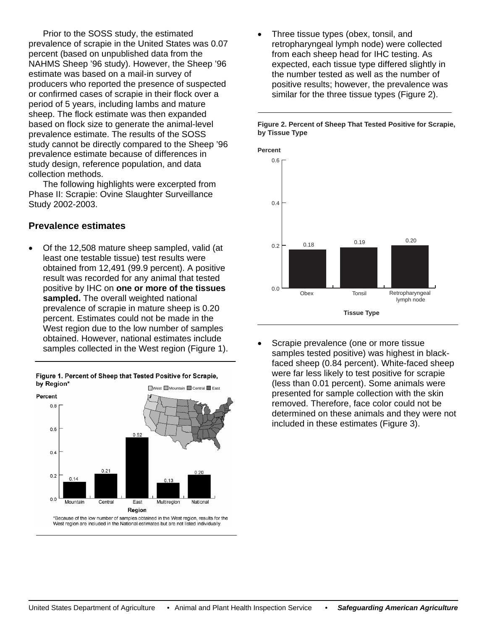Prior to the SOSS study, the estimated prevalence of scrapie in the United States was 0.07 NAHMS Sheep '96 study). However, the Sheep '96 producers who reported the presence of suspected study cannot be directly compared to the Sheep '96 percent (based on unpublished data from the estimate was based on a mail-in survey of or confirmed cases of scrapie in their flock over a period of 5 years, including lambs and mature sheep. The flock estimate was then expanded based on flock size to generate the animal-leve l prevalence estimate. The results of the SOSS prevalence estimate because of differences in study design, reference population, and data collection methods.

The following highlights were excerpted from Pha se II: Scrapie: Ovine Slaughter Surveillance Study 2002-2003.

## **Prevalence estimates**

Of the 12,508 mature sheep sampled, valid (at obtained from 12,491 (99.9 percent). A positive 0.20 prevalence of scrapie in mature sheep is West region due to the low number of samples . samples collected in the West region (Figure 1) • least one testable tissue) test results were result was recorded for any animal that tested positive by IHC on **one or more of the tissues sampled.** The overall weighted national percent. Estimates could not be made in the obtained. However, national estimates include

Figure 1. Percent of Sheep that Tested Positive for Scrapie, by Region\* West Mountain Central East



West region are included in the National estimates but are not listed individually

Three tissue types (obex, tonsil, and retropharyngeal lymph node) were collected expected, each tissue type differed slightly in positive results; however, the prevalence was • from each sheep head for IHC testing. As the number tested as well as the number of similar for the three tissue types (Figure 2).





Scrapie prevalence (one or more tissue samples tested positive) was highest in blackdetermined on these animals and they were not • faced sheep (0.84 percent). White-faced sheep were far less likely to test positive for scrapie (less than 0.01 percent). Some animals were presented for sample collection with the skin removed. Therefore, face color could not be included in these estimates (Figure 3).